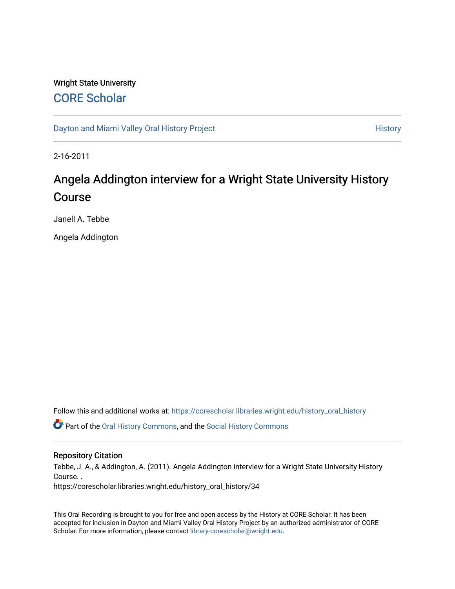# Wright State University [CORE Scholar](https://corescholar.libraries.wright.edu/)

[Dayton and Miami Valley Oral History Project](https://corescholar.libraries.wright.edu/history_oral_history) **History** History

2-16-2011

# Angela Addington interview for a Wright State University History Course

Janell A. Tebbe

Angela Addington

Follow this and additional works at: [https://corescholar.libraries.wright.edu/history\\_oral\\_history](https://corescholar.libraries.wright.edu/history_oral_history?utm_source=corescholar.libraries.wright.edu%2Fhistory_oral_history%2F34&utm_medium=PDF&utm_campaign=PDFCoverPages) 

Part of the [Oral History Commons](http://network.bepress.com/hgg/discipline/1195?utm_source=corescholar.libraries.wright.edu%2Fhistory_oral_history%2F34&utm_medium=PDF&utm_campaign=PDFCoverPages), and the [Social History Commons](http://network.bepress.com/hgg/discipline/506?utm_source=corescholar.libraries.wright.edu%2Fhistory_oral_history%2F34&utm_medium=PDF&utm_campaign=PDFCoverPages)

## Repository Citation

Tebbe, J. A., & Addington, A. (2011). Angela Addington interview for a Wright State University History Course. . https://corescholar.libraries.wright.edu/history\_oral\_history/34

This Oral Recording is brought to you for free and open access by the History at CORE Scholar. It has been accepted for inclusion in Dayton and Miami Valley Oral History Project by an authorized administrator of CORE Scholar. For more information, please contact [library-corescholar@wright.edu](mailto:library-corescholar@wright.edu).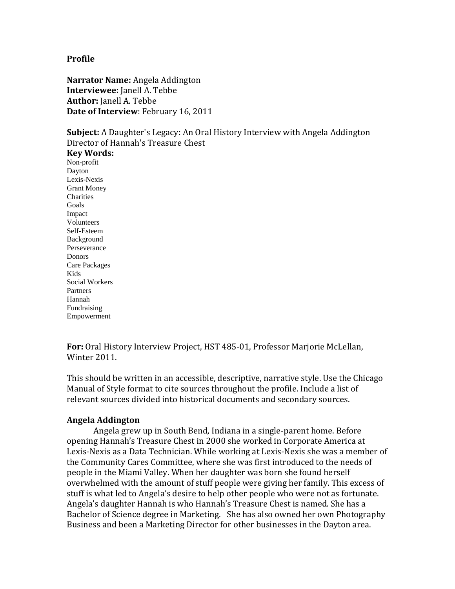**Profile**

**Narrator Name:** Angela Addington **Interviewee:** Janell A. Tebbe **Author:** Janell A. Tebbe **Date of Interview**: February 16, 2011

**Subject:** A Daughter's Legacy: An Oral History Interview with Angela Addington Director of Hannah's Treasure Chest

# **Key Words:**

Non-profit Dayton Lexis-Nexis Grant Money **Charities** Goals Impact Volunteers Self-Esteem Background Perseverance Donors Care Packages Kids Social Workers Partners Hannah Fundraising Empowerment

**For:** Oral History Interview Project, HST 485-01, Professor Marjorie McLellan, Winter 2011.

This should be written in an accessible, descriptive, narrative style. Use the Chicago Manual of Style format to cite sources throughout the profile. Include a list of relevant sources divided into historical documents and secondary sources.

# **Angela Addington**

Angela grew up in South Bend, Indiana in a single-parent home. Before opening Hannah's Treasure Chest in 2000 she worked in Corporate America at Lexis-Nexis as a Data Technician. While working at Lexis-Nexis she was a member of the Community Cares Committee, where she was first introduced to the needs of people in the Miami Valley. When her daughter was born she found herself overwhelmed with the amount of stuff people were giving her family. This excess of stuff is what led to Angela's desire to help other people who were not as fortunate. Angela's daughter Hannah is who Hannah's Treasure Chest is named. She has a Bachelor of Science degree in Marketing. She has also owned her own Photography Business and been a Marketing Director for other businesses in the Dayton area.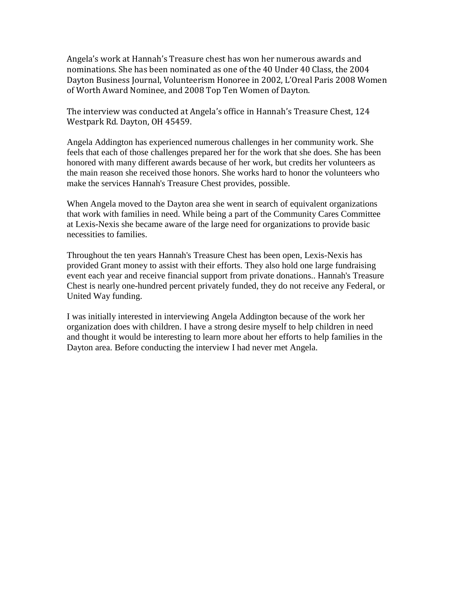Angela's work at Hannah's Treasure chest has won her numerous awards and nominations. She has been nominated as one of the 40 Under 40 Class, the 2004 Dayton Business Journal, Volunteerism Honoree in 2002, L'Oreal Paris 2008 Women of Worth Award Nominee, and 2008 Top Ten Women of Dayton.

The interview was conducted at Angela's office in Hannah's Treasure Chest, 124 Westpark Rd. Dayton, OH 45459.

Angela Addington has experienced numerous challenges in her community work. She feels that each of those challenges prepared her for the work that she does. She has been honored with many different awards because of her work, but credits her volunteers as the main reason she received those honors. She works hard to honor the volunteers who make the services Hannah's Treasure Chest provides, possible.

When Angela moved to the Dayton area she went in search of equivalent organizations that work with families in need. While being a part of the Community Cares Committee at Lexis-Nexis she became aware of the large need for organizations to provide basic necessities to families.

Throughout the ten years Hannah's Treasure Chest has been open, Lexis-Nexis has provided Grant money to assist with their efforts. They also hold one large fundraising event each year and receive financial support from private donations.. Hannah's Treasure Chest is nearly one-hundred percent privately funded, they do not receive any Federal, or United Way funding.

I was initially interested in interviewing Angela Addington because of the work her organization does with children. I have a strong desire myself to help children in need and thought it would be interesting to learn more about her efforts to help families in the Dayton area. Before conducting the interview I had never met Angela.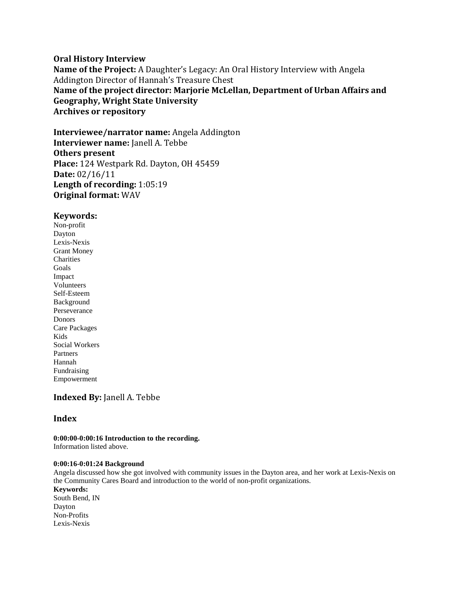## **Oral History Interview**

**Name of the Project:** A Daughter's Legacy: An Oral History Interview with Angela Addington Director of Hannah's Treasure Chest **Name of the project director: Marjorie McLellan, Department of Urban Affairs and Geography, Wright State University Archives or repository**

**Interviewee/narrator name:** Angela Addington **Interviewer name:** Janell A. Tebbe **Others present Place:** 124 Westpark Rd. Dayton, OH 45459 **Date:** 02/16/11 **Length of recording:** 1:05:19 **Original format:** WAV

# **Keywords:**

Non-profit Dayton Lexis-Nexis Grant Money **Charities** Goals Impact Volunteers Self-Esteem Background Perseverance Donors Care Packages Kids Social Workers Partners Hannah Fundraising Empowerment

**Indexed By:** Janell A. Tebbe

# **Index**

**0:00:00-0:00:16 Introduction to the recording.**  Information listed above.

## **0:00:16-0:01:24 Background**

Angela discussed how she got involved with community issues in the Dayton area, and her work at Lexis-Nexis on the Community Cares Board and introduction to the world of non-profit organizations.

**Keywords:**  South Bend, IN Dayton Non-Profits Lexis-Nexis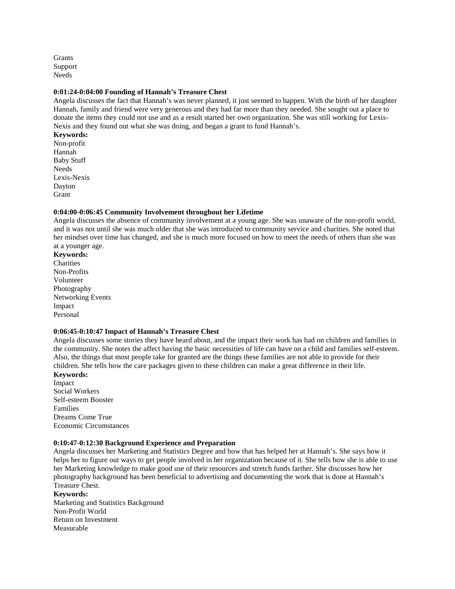**Grants** Support Needs

### **0:01:24-0:04:00 Founding of Hannah's Treasure Chest**

Angela discusses the fact that Hannah's was never planned, it just seemed to happen. With the birth of her daughter Hannah, family and friend were very generous and they had far more than they needed. She sought out a place to donate the items they could not use and as a result started her own organization. She was still working for Lexis-Nexis and they found out what she was doing, and began a grant to fund Hannah's.

**Keywords:** Non-profit Hannah Baby Stuff Needs Lexis-Nexis Dayton **Grant** 

#### **0:04:00-0:06:45 Community Involvement throughout her Lifetime**

Angela discusses the absence of community involvement at a young age. She was unaware of the non-profit world, and it was not until she was much older that she was introduced to community service and charities. She noted that her mindset over time has changed, and she is much more focused on how to meet the needs of others than she was at a younger age.

**Keywords: Charities** Non-Profits Volunteer Photography Networking Events Impact Personal

#### **0:06:45-0:10:47 Impact of Hannah's Treasure Chest**

Angela discusses some stories they have heard about, and the impact their work has had on children and families in the community. She notes the affect having the basic necessities of life can have on a child and families self-esteem. Also, the things that most people take for granted are the things these families are not able to provide for their children. She tells how the care packages given to these children can make a great difference in their life.

#### **Keywords:**

Impact Social Workers Self-esteem Booster Families Dreams Come True Economic Circumstances

#### **0:10:47-0:12:30 Background Experience and Preparation**

Angela discusses her Marketing and Statistics Degree and how that has helped her at Hannah's. She says how it helps her to figure out ways to get people involved in her organization because of it. She tells how she is able to use her Marketing knowledge to make good use of their resources and stretch funds farther. She discusses how her photography background has been beneficial to advertising and documenting the work that is done at Hannah's Treasure Chest.

#### **Keywords:**

Marketing and Statistics Background Non-Profit World Return on Investment Measurable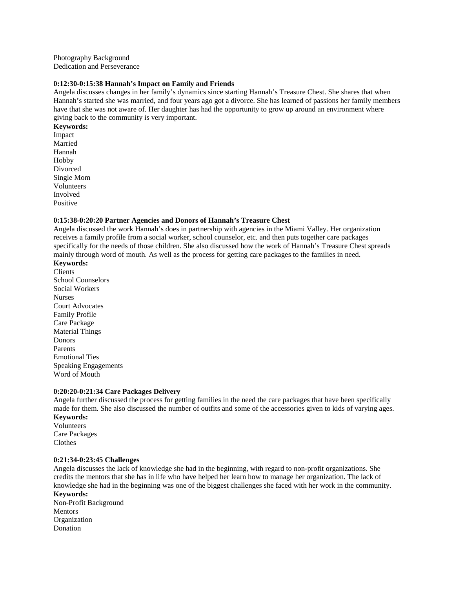Photography Background Dedication and Perseverance

#### **0:12:30-0:15:38 Hannah's Impact on Family and Friends**

Angela discusses changes in her family's dynamics since starting Hannah's Treasure Chest. She shares that when Hannah's started she was married, and four years ago got a divorce. She has learned of passions her family members have that she was not aware of. Her daughter has had the opportunity to grow up around an environment where giving back to the community is very important.

**Keywords:**  Impact Married Hannah Hobby Divorced Single Mom Volunteers Involved Positive

## **0:15:38-0:20:20 Partner Agencies and Donors of Hannah's Treasure Chest**

Angela discussed the work Hannah's does in partnership with agencies in the Miami Valley. Her organization receives a family profile from a social worker, school counselor, etc. and then puts together care packages specifically for the needs of those children. She also discussed how the work of Hannah's Treasure Chest spreads mainly through word of mouth. As well as the process for getting care packages to the families in need. **Keywords:** 

Clients School Counselors Social Workers Nurses Court Advocates Family Profile Care Package Material Things Donors Parents Emotional Ties Speaking Engagements Word of Mouth

#### **0:20:20-0:21:34 Care Packages Delivery**

Angela further discussed the process for getting families in the need the care packages that have been specifically made for them. She also discussed the number of outfits and some of the accessories given to kids of varying ages. **Keywords:**

Volunteers Care Packages Clothes

## **0:21:34-0:23:45 Challenges**

Angela discusses the lack of knowledge she had in the beginning, with regard to non-profit organizations. She credits the mentors that she has in life who have helped her learn how to manage her organization. The lack of knowledge she had in the beginning was one of the biggest challenges she faced with her work in the community. **Keywords:**

Non-Profit Background Mentors Organization Donation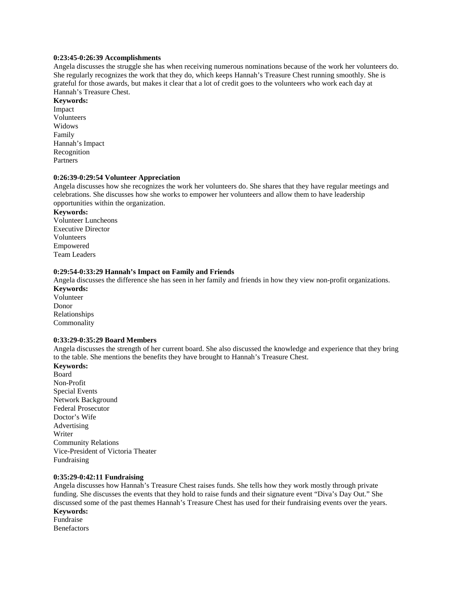## **0:23:45-0:26:39 Accomplishments**

Angela discusses the struggle she has when receiving numerous nominations because of the work her volunteers do. She regularly recognizes the work that they do, which keeps Hannah's Treasure Chest running smoothly. She is grateful for those awards, but makes it clear that a lot of credit goes to the volunteers who work each day at Hannah's Treasure Chest.

#### **Keywords:**

Impact Volunteers Widows Family Hannah's Impact Recognition Partners

#### **0:26:39-0:29:54 Volunteer Appreciation**

Angela discusses how she recognizes the work her volunteers do. She shares that they have regular meetings and celebrations. She discusses how she works to empower her volunteers and allow them to have leadership opportunities within the organization.

**Keywords:**  Volunteer Luncheons Executive Director Volunteers Empowered Team Leaders

#### **0:29:54-0:33:29 Hannah's Impact on Family and Friends**

Angela discusses the difference she has seen in her family and friends in how they view non-profit organizations. **Keywords:** 

Volunteer Donor Relationships Commonality

## **0:33:29-0:35:29 Board Members**

Angela discusses the strength of her current board. She also discussed the knowledge and experience that they bring to the table. She mentions the benefits they have brought to Hannah's Treasure Chest.

**Keywords:** Board Non-Profit Special Events Network Background Federal Prosecutor Doctor's Wife Advertising Writer Community Relations Vice-President of Victoria Theater Fundraising

#### **0:35:29-0:42:11 Fundraising**

Angela discusses how Hannah's Treasure Chest raises funds. She tells how they work mostly through private funding. She discusses the events that they hold to raise funds and their signature event "Diva's Day Out." She discussed some of the past themes Hannah's Treasure Chest has used for their fundraising events over the years. **Keywords:**  Fundraise **Benefactors**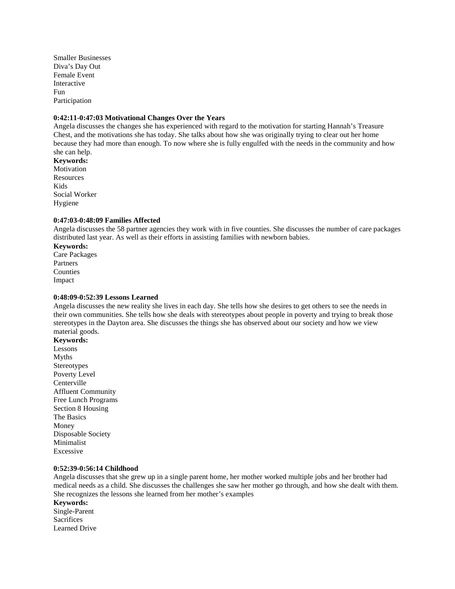Smaller Businesses Diva's Day Out Female Event Interactive Fun Participation

## **0:42:11-0:47:03 Motivational Changes Over the Years**

Angela discusses the changes she has experienced with regard to the motivation for starting Hannah's Treasure Chest, and the motivations she has today. She talks about how she was originally trying to clear out her home because they had more than enough. To now where she is fully engulfed with the needs in the community and how she can help.

**Keywords:**  Motivation Resources Kids Social Worker Hygiene

### **0:47:03-0:48:09 Families Affected**

Angela discusses the 58 partner agencies they work with in five counties. She discusses the number of care packages distributed last year. As well as their efforts in assisting families with newborn babies.

**Keywords:**  Care Packages Partners **Counties** Impact

#### **0:48:09-0:52:39 Lessons Learned**

Angela discusses the new reality she lives in each day. She tells how she desires to get others to see the needs in their own communities. She tells how she deals with stereotypes about people in poverty and trying to break those stereotypes in the Dayton area. She discusses the things she has observed about our society and how we view material goods.

**Keywords:**  Lessons Myths Stereotypes Poverty Level Centerville Affluent Community Free Lunch Programs Section 8 Housing The Basics Money Disposable Society Minimalist Excessive

#### **0:52:39-0:56:14 Childhood**

Angela discusses that she grew up in a single parent home, her mother worked multiple jobs and her brother had medical needs as a child. She discusses the challenges she saw her mother go through, and how she dealt with them. She recognizes the lessons she learned from her mother's examples

**Keywords:**  Single-Parent **Sacrifices** Learned Drive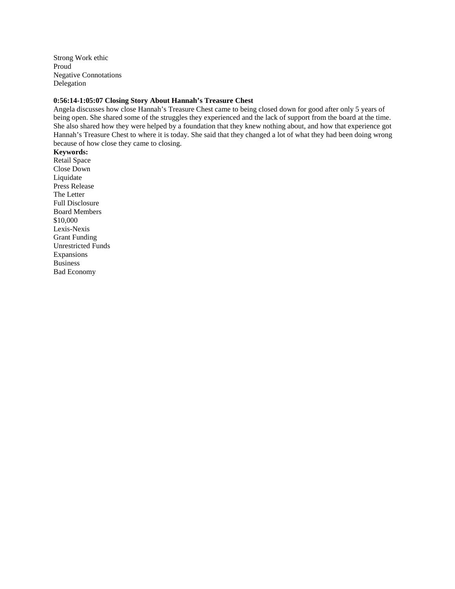Strong Work ethic Proud Negative Connotations Delegation

## **0:56:14-1:05:07 Closing Story About Hannah's Treasure Chest**

Angela discusses how close Hannah's Treasure Chest came to being closed down for good after only 5 years of being open. She shared some of the struggles they experienced and the lack of support from the board at the time. She also shared how they were helped by a foundation that they knew nothing about, and how that experience got Hannah's Treasure Chest to where it is today. She said that they changed a lot of what they had been doing wrong because of how close they came to closing.

**Keywords:**  Retail Space Close Down Liquidate Press Release The Letter Full Disclosure Board Members \$10,000 Lexis-Nexis Grant Funding Unrestricted Funds Expansions Business Bad Economy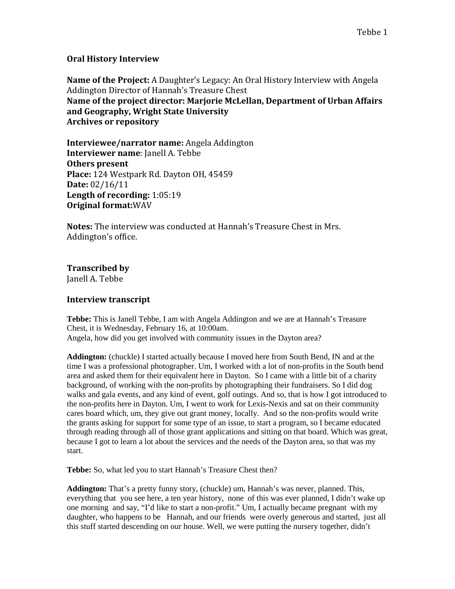# **Oral History Interview**

**Name of the Project:** A Daughter's Legacy: An Oral History Interview with Angela Addington Director of Hannah's Treasure Chest **Name of the project director: Marjorie McLellan, Department of Urban Affairs and Geography, Wright State University Archives or repository**

**Interviewee/narrator name:** Angela Addington **Interviewer name**: Janell A. Tebbe **Others present Place:** 124 Westpark Rd. Dayton OH, 45459 **Date:** 02/16/11 **Length of recording:** 1:05:19 **Original format:**WAV

**Notes:** The interview was conducted at Hannah's Treasure Chest in Mrs. Addington's office.

**Transcribed by** Janell A. Tebbe

# **Interview transcript**

**Tebbe:** This is Janell Tebbe, I am with Angela Addington and we are at Hannah's Treasure Chest, it is Wednesday, February 16, at 10:00am. Angela, how did you get involved with community issues in the Dayton area?

**Addington:** (chuckle) I started actually because I moved here from South Bend, IN and at the time I was a professional photographer. Um, I worked with a lot of non-profits in the South bend area and asked them for their equivalent here in Dayton. So I came with a little bit of a charity background, of working with the non-profits by photographing their fundraisers. So I did dog walks and gala events, and any kind of event, golf outings. And so, that is how I got introduced to the non-profits here in Dayton. Um, I went to work for Lexis-Nexis and sat on their community cares board which, um, they give out grant money, locally. And so the non-profits would write the grants asking for support for some type of an issue, to start a program, so I became educated through reading through all of those grant applications and sitting on that board. Which was great, because I got to learn a lot about the services and the needs of the Dayton area, so that was my start.

**Tebbe:** So, what led you to start Hannah's Treasure Chest then?

**Addington:** That's a pretty funny story, (chuckle) um, Hannah's was never, planned. This, everything that you see here, a ten year history, none of this was ever planned, I didn't wake up one morning and say, "I'd like to start a non-profit." Um, I actually became pregnant with my daughter, who happens to be Hannah, and our friends were overly generous and started, just all this stuff started descending on our house. Well, we were putting the nursery together, didn't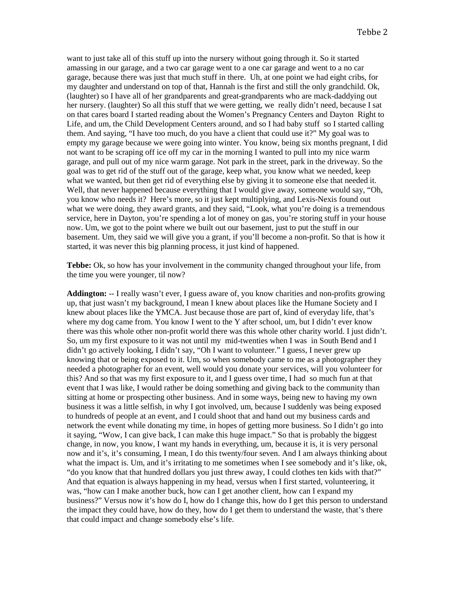want to just take all of this stuff up into the nursery without going through it. So it started amassing in our garage, and a two car garage went to a one car garage and went to a no car garage, because there was just that much stuff in there. Uh, at one point we had eight cribs, for my daughter and understand on top of that, Hannah is the first and still the only grandchild. Ok, (laughter) so I have all of her grandparents and great-grandparents who are mack-daddying out her nursery. (laughter) So all this stuff that we were getting, we really didn't need, because I sat on that cares board I started reading about the Women's Pregnancy Centers and Dayton Right to Life, and um, the Child Development Centers around, and so I had baby stuff so I started calling them. And saying, "I have too much, do you have a client that could use it?" My goal was to empty my garage because we were going into winter. You know, being six months pregnant, I did not want to be scraping off ice off my car in the morning I wanted to pull into my nice warm garage, and pull out of my nice warm garage. Not park in the street, park in the driveway. So the goal was to get rid of the stuff out of the garage, keep what, you know what we needed, keep what we wanted, but then get rid of everything else by giving it to someone else that needed it. Well, that never happened because everything that I would give away, someone would say, "Oh, you know who needs it? Here's more, so it just kept multiplying, and Lexis-Nexis found out what we were doing, they award grants, and they said, "Look, what you're doing is a tremendous service, here in Dayton, you're spending a lot of money on gas, you're storing stuff in your house now. Um, we got to the point where we built out our basement, just to put the stuff in our basement. Um, they said we will give you a grant, if you'll become a non-profit. So that is how it started, it was never this big planning process, it just kind of happened.

Tebbe: Ok, so how has your involvement in the community changed throughout your life, from the time you were younger, til now?

**Addington:** -- I really wasn't ever, I guess aware of, you know charities and non-profits growing up, that just wasn't my background, I mean I knew about places like the Humane Society and I knew about places like the YMCA. Just because those are part of, kind of everyday life, that's where my dog came from. You know I went to the Y after school, um, but I didn't ever know there was this whole other non-profit world there was this whole other charity world. I just didn't. So, um my first exposure to it was not until my mid-twenties when I was in South Bend and I didn't go actively looking, I didn't say, "Oh I want to volunteer." I guess, I never grew up knowing that or being exposed to it. Um, so when somebody came to me as a photographer they needed a photographer for an event, well would you donate your services, will you volunteer for this? And so that was my first exposure to it, and I guess over time, I had so much fun at that event that I was like, I would rather be doing something and giving back to the community than sitting at home or prospecting other business. And in some ways, being new to having my own business it was a little selfish, in why I got involved, um, because I suddenly was being exposed to hundreds of people at an event, and I could shoot that and hand out my business cards and network the event while donating my time, in hopes of getting more business. So I didn't go into it saying, "Wow, I can give back, I can make this huge impact." So that is probably the biggest change, in now, you know, I want my hands in everything, um, because it is, it is very personal now and it's, it's consuming, I mean, I do this twenty/four seven. And I am always thinking about what the impact is. Um, and it's irritating to me sometimes when I see somebody and it's like, ok, "do you know that that hundred dollars you just threw away, I could clothes ten kids with that?" And that equation is always happening in my head, versus when I first started, volunteering, it was, "how can I make another buck, how can I get another client, how can I expand my business?" Versus now it's how do I, how do I change this, how do I get this person to understand the impact they could have, how do they, how do I get them to understand the waste, that's there that could impact and change somebody else's life.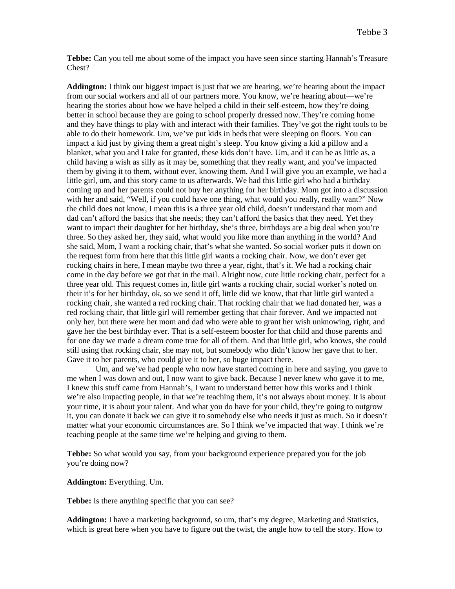**Tebbe:** Can you tell me about some of the impact you have seen since starting Hannah's Treasure Chest?

**Addington:** I think our biggest impact is just that we are hearing, we're hearing about the impact from our social workers and all of our partners more. You know, we're hearing about—we're hearing the stories about how we have helped a child in their self-esteem, how they're doing better in school because they are going to school properly dressed now. They're coming home and they have things to play with and interact with their families. They've got the right tools to be able to do their homework. Um, we've put kids in beds that were sleeping on floors. You can impact a kid just by giving them a great night's sleep. You know giving a kid a pillow and a blanket, what you and I take for granted, these kids don't have. Um, and it can be as little as, a child having a wish as silly as it may be, something that they really want, and you've impacted them by giving it to them, without ever, knowing them. And I will give you an example, we had a little girl, um, and this story came to us afterwards. We had this little girl who had a birthday coming up and her parents could not buy her anything for her birthday. Mom got into a discussion with her and said, "Well, if you could have one thing, what would you really, really want?" Now the child does not know, I mean this is a three year old child, doesn't understand that mom and dad can't afford the basics that she needs; they can't afford the basics that they need. Yet they want to impact their daughter for her birthday, she's three, birthdays are a big deal when you're three. So they asked her, they said, what would you like more than anything in the world? And she said, Mom, I want a rocking chair, that's what she wanted. So social worker puts it down on the request form from here that this little girl wants a rocking chair. Now, we don't ever get rocking chairs in here, I mean maybe two three a year, right, that's it. We had a rocking chair come in the day before we got that in the mail. Alright now, cute little rocking chair, perfect for a three year old. This request comes in, little girl wants a rocking chair, social worker's noted on their it's for her birthday, ok, so we send it off, little did we know, that that little girl wanted a rocking chair, she wanted a red rocking chair. That rocking chair that we had donated her, was a red rocking chair, that little girl will remember getting that chair forever. And we impacted not only her, but there were her mom and dad who were able to grant her wish unknowing, right, and gave her the best birthday ever. That is a self-esteem booster for that child and those parents and for one day we made a dream come true for all of them. And that little girl, who knows, she could still using that rocking chair, she may not, but somebody who didn't know her gave that to her. Gave it to her parents, who could give it to her, so huge impact there.

Um, and we've had people who now have started coming in here and saying, you gave to me when I was down and out, I now want to give back. Because I never knew who gave it to me, I knew this stuff came from Hannah's, I want to understand better how this works and I think we're also impacting people, in that we're teaching them, it's not always about money. It is about your time, it is about your talent. And what you do have for your child, they're going to outgrow it, you can donate it back we can give it to somebody else who needs it just as much. So it doesn't matter what your economic circumstances are. So I think we've impacted that way. I think we're teaching people at the same time we're helping and giving to them.

**Tebbe:** So what would you say, from your background experience prepared you for the job you're doing now?

## **Addington:** Everything. Um.

**Tebbe:** Is there anything specific that you can see?

**Addington:** I have a marketing background, so um, that's my degree, Marketing and Statistics, which is great here when you have to figure out the twist, the angle how to tell the story. How to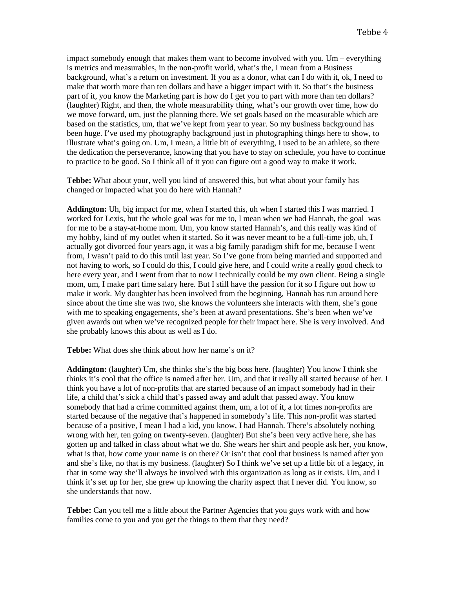impact somebody enough that makes them want to become involved with you. Um – everything is metrics and measurables, in the non-profit world, what's the, I mean from a Business background, what's a return on investment. If you as a donor, what can I do with it, ok, I need to make that worth more than ten dollars and have a bigger impact with it. So that's the business part of it, you know the Marketing part is how do I get you to part with more than ten dollars? (laughter) Right, and then, the whole measurability thing, what's our growth over time, how do we move forward, um, just the planning there. We set goals based on the measurable which are based on the statistics, um, that we've kept from year to year. So my business background has been huge. I've used my photography background just in photographing things here to show, to illustrate what's going on. Um, I mean, a little bit of everything, I used to be an athlete, so there the dedication the perseverance, knowing that you have to stay on schedule, you have to continue to practice to be good. So I think all of it you can figure out a good way to make it work.

**Tebbe:** What about your, well you kind of answered this, but what about your family has changed or impacted what you do here with Hannah?

**Addington:** Uh, big impact for me, when I started this, uh when I started this I was married. I worked for Lexis, but the whole goal was for me to, I mean when we had Hannah, the goal was for me to be a stay-at-home mom. Um, you know started Hannah's, and this really was kind of my hobby, kind of my outlet when it started. So it was never meant to be a full-time job, uh, I actually got divorced four years ago, it was a big family paradigm shift for me, because I went from, I wasn't paid to do this until last year. So I've gone from being married and supported and not having to work, so I could do this, I could give here, and I could write a really good check to here every year, and I went from that to now I technically could be my own client. Being a single mom, um, I make part time salary here. But I still have the passion for it so I figure out how to make it work. My daughter has been involved from the beginning, Hannah has run around here since about the time she was two, she knows the volunteers she interacts with them, she's gone with me to speaking engagements, she's been at award presentations. She's been when we've given awards out when we've recognized people for their impact here. She is very involved. And she probably knows this about as well as I do.

**Tebbe:** What does she think about how her name's on it?

**Addington:** (laughter) Um, she thinks she's the big boss here. (laughter) You know I think she thinks it's cool that the office is named after her. Um, and that it really all started because of her. I think you have a lot of non-profits that are started because of an impact somebody had in their life, a child that's sick a child that's passed away and adult that passed away. You know somebody that had a crime committed against them, um, a lot of it, a lot times non-profits are started because of the negative that's happened in somebody's life. This non-profit was started because of a positive, I mean I had a kid, you know, I had Hannah. There's absolutely nothing wrong with her, ten going on twenty-seven. (laughter) But she's been very active here, she has gotten up and talked in class about what we do. She wears her shirt and people ask her, you know, what is that, how come your name is on there? Or isn't that cool that business is named after you and she's like, no that is my business. (laughter) So I think we've set up a little bit of a legacy, in that in some way she'll always be involved with this organization as long as it exists. Um, and I think it's set up for her, she grew up knowing the charity aspect that I never did. You know, so she understands that now.

**Tebbe:** Can you tell me a little about the Partner Agencies that you guys work with and how families come to you and you get the things to them that they need?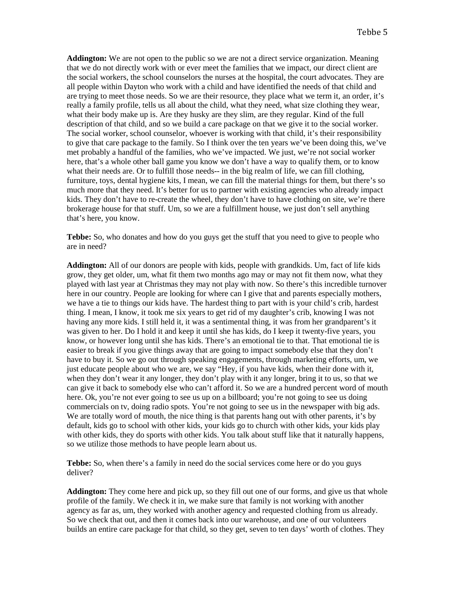**Addington:** We are not open to the public so we are not a direct service organization. Meaning that we do not directly work with or ever meet the families that we impact, our direct client are the social workers, the school counselors the nurses at the hospital, the court advocates. They are all people within Dayton who work with a child and have identified the needs of that child and are trying to meet those needs. So we are their resource, they place what we term it, an order, it's really a family profile, tells us all about the child, what they need, what size clothing they wear, what their body make up is. Are they husky are they slim, are they regular. Kind of the full description of that child, and so we build a care package on that we give it to the social worker. The social worker, school counselor, whoever is working with that child, it's their responsibility to give that care package to the family. So I think over the ten years we've been doing this, we've met probably a handful of the families, who we've impacted. We just, we're not social worker here, that's a whole other ball game you know we don't have a way to qualify them, or to know what their needs are. Or to fulfill those needs-- in the big realm of life, we can fill clothing, furniture, toys, dental hygiene kits, I mean, we can fill the material things for them, but there's so much more that they need. It's better for us to partner with existing agencies who already impact kids. They don't have to re-create the wheel, they don't have to have clothing on site, we're there brokerage house for that stuff. Um, so we are a fulfillment house, we just don't sell anything that's here, you know.

**Tebbe:** So, who donates and how do you guys get the stuff that you need to give to people who are in need?

**Addington:** All of our donors are people with kids, people with grandkids. Um, fact of life kids grow, they get older, um, what fit them two months ago may or may not fit them now, what they played with last year at Christmas they may not play with now. So there's this incredible turnover here in our country. People are looking for where can I give that and parents especially mothers, we have a tie to things our kids have. The hardest thing to part with is your child's crib, hardest thing. I mean, I know, it took me six years to get rid of my daughter's crib, knowing I was not having any more kids. I still held it, it was a sentimental thing, it was from her grandparent's it was given to her. Do I hold it and keep it until she has kids, do I keep it twenty-five years, you know, or however long until she has kids. There's an emotional tie to that. That emotional tie is easier to break if you give things away that are going to impact somebody else that they don't have to buy it. So we go out through speaking engagements, through marketing efforts, um, we just educate people about who we are, we say "Hey, if you have kids, when their done with it, when they don't wear it any longer, they don't play with it any longer, bring it to us, so that we can give it back to somebody else who can't afford it. So we are a hundred percent word of mouth here. Ok, you're not ever going to see us up on a billboard; you're not going to see us doing commercials on tv, doing radio spots. You're not going to see us in the newspaper with big ads. We are totally word of mouth, the nice thing is that parents hang out with other parents, it's by default, kids go to school with other kids, your kids go to church with other kids, your kids play with other kids, they do sports with other kids. You talk about stuff like that it naturally happens, so we utilize those methods to have people learn about us.

**Tebbe:** So, when there's a family in need do the social services come here or do you guys deliver?

**Addington:** They come here and pick up, so they fill out one of our forms, and give us that whole profile of the family. We check it in, we make sure that family is not working with another agency as far as, um, they worked with another agency and requested clothing from us already. So we check that out, and then it comes back into our warehouse, and one of our volunteers builds an entire care package for that child, so they get, seven to ten days' worth of clothes. They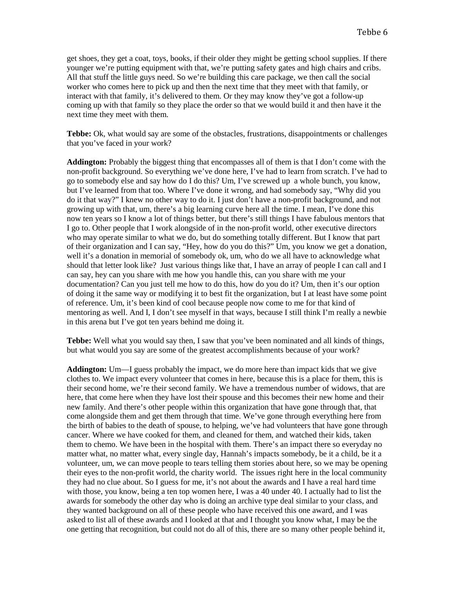get shoes, they get a coat, toys, books, if their older they might be getting school supplies. If there younger we're putting equipment with that, we're putting safety gates and high chairs and cribs. All that stuff the little guys need. So we're building this care package, we then call the social worker who comes here to pick up and then the next time that they meet with that family, or interact with that family, it's delivered to them. Or they may know they've got a follow-up coming up with that family so they place the order so that we would build it and then have it the next time they meet with them.

**Tebbe:** Ok, what would say are some of the obstacles, frustrations, disappointments or challenges that you've faced in your work?

**Addington:** Probably the biggest thing that encompasses all of them is that I don't come with the non-profit background. So everything we've done here, I've had to learn from scratch. I've had to go to somebody else and say how do I do this? Um, I've screwed up a whole bunch, you know, but I've learned from that too. Where I've done it wrong, and had somebody say, "Why did you do it that way?" I knew no other way to do it. I just don't have a non-profit background, and not growing up with that, um, there's a big learning curve here all the time. I mean, I've done this now ten years so I know a lot of things better, but there's still things I have fabulous mentors that I go to. Other people that I work alongside of in the non-profit world, other executive directors who may operate similar to what we do, but do something totally different. But I know that part of their organization and I can say, "Hey, how do you do this?" Um, you know we get a donation, well it's a donation in memorial of somebody ok, um, who do we all have to acknowledge what should that letter look like? Just various things like that, I have an array of people I can call and I can say, hey can you share with me how you handle this, can you share with me your documentation? Can you just tell me how to do this, how do you do it? Um, then it's our option of doing it the same way or modifying it to best fit the organization, but I at least have some point of reference. Um, it's been kind of cool because people now come to me for that kind of mentoring as well. And I, I don't see myself in that ways, because I still think I'm really a newbie in this arena but I've got ten years behind me doing it.

**Tebbe:** Well what you would say then, I saw that you've been nominated and all kinds of things, but what would you say are some of the greatest accomplishments because of your work?

**Addington:** Um—I guess probably the impact, we do more here than impact kids that we give clothes to. We impact every volunteer that comes in here, because this is a place for them, this is their second home, we're their second family. We have a tremendous number of widows, that are here, that come here when they have lost their spouse and this becomes their new home and their new family. And there's other people within this organization that have gone through that, that come alongside them and get them through that time. We've gone through everything here from the birth of babies to the death of spouse, to helping, we've had volunteers that have gone through cancer. Where we have cooked for them, and cleaned for them, and watched their kids, taken them to chemo. We have been in the hospital with them. There's an impact there so everyday no matter what, no matter what, every single day, Hannah's impacts somebody, be it a child, be it a volunteer, um, we can move people to tears telling them stories about here, so we may be opening their eyes to the non-profit world, the charity world. The issues right here in the local community they had no clue about. So I guess for me, it's not about the awards and I have a real hard time with those, you know, being a ten top women here, I was a 40 under 40. I actually had to list the awards for somebody the other day who is doing an archive type deal similar to your class, and they wanted background on all of these people who have received this one award, and I was asked to list all of these awards and I looked at that and I thought you know what, I may be the one getting that recognition, but could not do all of this, there are so many other people behind it,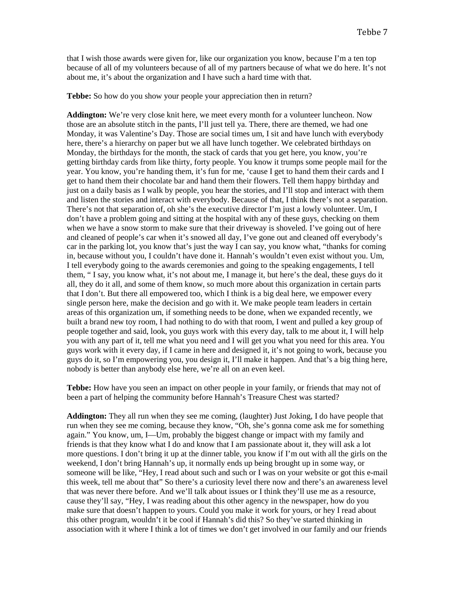that I wish those awards were given for, like our organization you know, because I'm a ten top because of all of my volunteers because of all of my partners because of what we do here. It's not about me, it's about the organization and I have such a hard time with that.

**Tebbe:** So how do you show your people your appreciation then in return?

**Addington:** We're very close knit here, we meet every month for a volunteer luncheon. Now those are an absolute stitch in the pants, I'll just tell ya. There, there are themed, we had one Monday, it was Valentine's Day. Those are social times um, I sit and have lunch with everybody here, there's a hierarchy on paper but we all have lunch together. We celebrated birthdays on Monday, the birthdays for the month, the stack of cards that you get here, you know, you're getting birthday cards from like thirty, forty people. You know it trumps some people mail for the year. You know, you're handing them, it's fun for me, 'cause I get to hand them their cards and I get to hand them their chocolate bar and hand them their flowers. Tell them happy birthday and just on a daily basis as I walk by people, you hear the stories, and I'll stop and interact with them and listen the stories and interact with everybody. Because of that, I think there's not a separation. There's not that separation of, oh she's the executive director I'm just a lowly volunteer. Um, I don't have a problem going and sitting at the hospital with any of these guys, checking on them when we have a snow storm to make sure that their driveway is shoveled. I've going out of here and cleaned of people's car when it's snowed all day, I've gone out and cleaned off everybody's car in the parking lot, you know that's just the way I can say, you know what, "thanks for coming in, because without you, I couldn't have done it. Hannah's wouldn't even exist without you. Um, I tell everybody going to the awards ceremonies and going to the speaking engagements, I tell them, " I say, you know what, it's not about me, I manage it, but here's the deal, these guys do it all, they do it all, and some of them know, so much more about this organization in certain parts that I don't. But there all empowered too, which I think is a big deal here, we empower every single person here, make the decision and go with it. We make people team leaders in certain areas of this organization um, if something needs to be done, when we expanded recently, we built a brand new toy room, I had nothing to do with that room, I went and pulled a key group of people together and said, look, you guys work with this every day, talk to me about it, I will help you with any part of it, tell me what you need and I will get you what you need for this area. You guys work with it every day, if I came in here and designed it, it's not going to work, because you guys do it, so I'm empowering you, you design it, I'll make it happen. And that's a big thing here, nobody is better than anybody else here, we're all on an even keel.

**Tebbe:** How have you seen an impact on other people in your family, or friends that may not of been a part of helping the community before Hannah's Treasure Chest was started?

**Addington:** They all run when they see me coming, (laughter) Just Joking, I do have people that run when they see me coming, because they know, "Oh, she's gonna come ask me for something again." You know, um, I—Um, probably the biggest change or impact with my family and friends is that they know what I do and know that I am passionate about it, they will ask a lot more questions. I don't bring it up at the dinner table, you know if I'm out with all the girls on the weekend, I don't bring Hannah's up, it normally ends up being brought up in some way, or someone will be like, "Hey, I read about such and such or I was on your website or got this e-mail this week, tell me about that" So there's a curiosity level there now and there's an awareness level that was never there before. And we'll talk about issues or I think they'll use me as a resource, cause they'll say, "Hey, I was reading about this other agency in the newspaper, how do you make sure that doesn't happen to yours. Could you make it work for yours, or hey I read about this other program, wouldn't it be cool if Hannah's did this? So they've started thinking in association with it where I think a lot of times we don't get involved in our family and our friends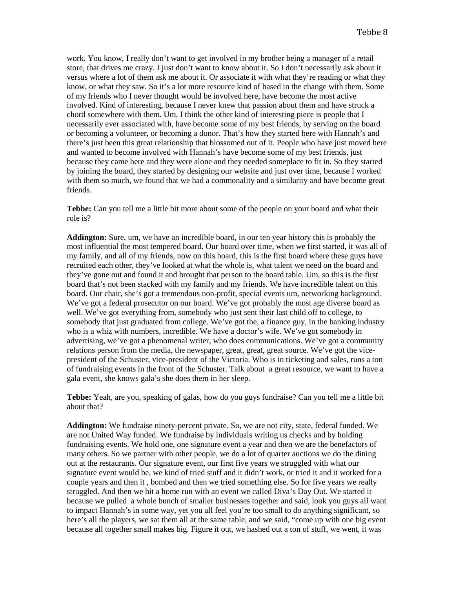work. You know, I really don't want to get involved in my brother being a manager of a retail store, that drives me crazy. I just don't want to know about it. So I don't necessarily ask about it versus where a lot of them ask me about it. Or associate it with what they're reading or what they know, or what they saw. So it's a lot more resource kind of based in the change with them. Some of my friends who I never thought would be involved here, have become the most active involved. Kind of interesting, because I never knew that passion about them and have struck a chord somewhere with them. Um, I think the other kind of interesting piece is people that I necessarily ever associated with, have become some of my best friends, by serving on the board or becoming a volunteer, or becoming a donor. That's how they started here with Hannah's and there's just been this great relationship that blossomed out of it. People who have just moved here and wanted to become involved with Hannah's have become some of my best friends, just because they came here and they were alone and they needed someplace to fit in. So they started by joining the board, they started by designing our website and just over time, because I worked with them so much, we found that we had a commonality and a similarity and have become great friends.

**Tebbe:** Can you tell me a little bit more about some of the people on your board and what their role is?

**Addington:** Sure, um, we have an incredible board, in our ten year history this is probably the most influential the most tempered board. Our board over time, when we first started, it was all of my family, and all of my friends, now on this board, this is the first board where these guys have recruited each other, they've looked at what the whole is, what talent we need on the board and they've gone out and found it and brought that person to the board table. Um, so this is the first board that's not been stacked with my family and my friends. We have incredible talent on this board. Our chair, she's got a tremendous non-profit, special events um, networking background. We've got a federal prosecutor on our board. We've got probably the most age diverse board as well. We've got everything from, somebody who just sent their last child off to college, to somebody that just graduated from college. We've got the, a finance guy, in the banking industry who is a whiz with numbers, incredible. We have a doctor's wife. We've got somebody in advertising, we've got a phenomenal writer, who does communications. We've got a community relations person from the media, the newspaper, great, great, great source. We've got the vicepresident of the Schuster, vice-president of the Victoria. Who is in ticketing and sales, runs a ton of fundraising events in the front of the Schuster. Talk about a great resource, we want to have a gala event, she knows gala's she does them in her sleep.

**Tebbe:** Yeah, are you, speaking of galas, how do you guys fundraise? Can you tell me a little bit about that?

**Addington:** We fundraise ninety-percent private. So, we are not city, state, federal funded. We are not United Way funded. We fundraise by individuals writing us checks and by holding fundraising events. We hold one, one signature event a year and then we are the benefactors of many others. So we partner with other people, we do a lot of quarter auctions we do the dining out at the restaurants. Our signature event, our first five years we struggled with what our signature event would be, we kind of tried stuff and it didn't work, or tried it and it worked for a couple years and then it , bombed and then we tried something else. So for five years we really struggled. And then we hit a home run with an event we called Diva's Day Out. We started it because we pulled a whole bunch of smaller businesses together and said, look you guys all want to impact Hannah's in some way, yet you all feel you're too small to do anything significant, so here's all the players, we sat them all at the same table, and we said, "come up with one big event because all together small makes big. Figure it out, we hashed out a ton of stuff, we went, it was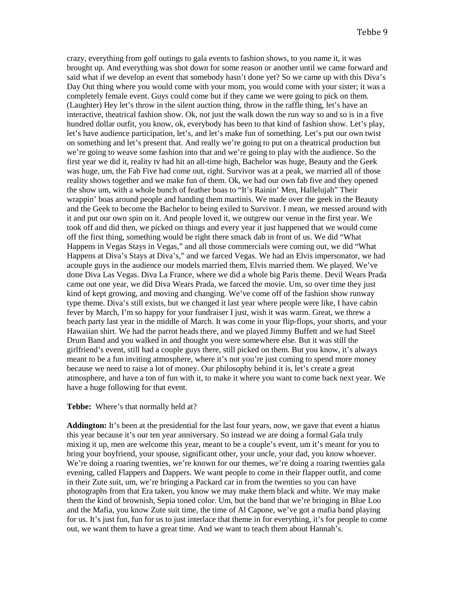crazy, everything from golf outings to gala events to fashion shows, to you name it, it was brought up. And everything was shot down for some reason or another until we came forward and said what if we develop an event that somebody hasn't done yet? So we came up with this Diva's Day Out thing where you would come with your mom, you would come with your sister; it was a completely female event. Guys could come but if they came we were going to pick on them. (Laughter) Hey let's throw in the silent auction thing, throw in the raffle thing, let's have an interactive, theatrical fashion show. Ok, not just the walk down the run way so and so is in a five hundred dollar outfit, you know, ok, everybody has been to that kind of fashion show. Let's play, let's have audience participation, let's, and let's make fun of something. Let's put our own twist on something and let's present that. And really we're going to put on a theatrical production but we're going to weave some fashion into that and we're going to play with the audience. So the first year we did it, reality tv had hit an all-time high, Bachelor was huge, Beauty and the Geek was huge, um, the Fab Five had come out, right. Survivor was at a peak, we married all of those reality shows together and we make fun of them. Ok, we had our own fab five and they opened the show um, with a whole bunch of feather boas to "It's Rainin' Men, Hallelujah" Their wrappin' boas around people and handing them martinis. We made over the geek in the Beauty and the Geek to become the Bachelor to being exiled to Survivor. I mean, we messed around with it and put our own spin on it. And people loved it, we outgrew our venue in the first year. We took off and did then, we picked on things and every year it just happened that we would come off the first thing, something would be right there smack dab in front of us. We did "What Happens in Vegas Stays in Vegas," and all those commercials were coming out, we did "What Happens at Diva's Stays at Diva's," and we farced Vegas. We had an Elvis impersonator, we had acouple guys in the audience our models married them, Elvis married them. We played. We've done Diva Las Vegas. Diva La France, where we did a whole big Paris theme. Devil Wears Prada came out one year, we did Diva Wears Prada, we farced the movie. Um, so over time they just kind of kept growing, and moving and changing. We've come off of the fashion show runway type theme. Diva's still exists, but we changed it last year where people were like, I have cabin fever by March, I'm so happy for your fundraiser I just, wish it was warm. Great, we threw a beach party last year in the middle of March. It was come in your flip-flops, your shorts, and your Hawaiian shirt. We had the parrot heads there, and we played Jimmy Buffett and we had Steel Drum Band and you walked in and thought you were somewhere else. But it was still the girlfriend's event, still had a couple guys there, still picked on them. But you know, it's always meant to be a fun inviting atmosphere, where it's not you're just coming to spend more money because we need to raise a lot of money. Our philosophy behind it is, let's create a great atmosphere, and have a ton of fun with it, to make it where you want to come back next year. We have a huge following for that event.

## **Tebbe:** Where's that normally held at?

**Addington:** It's been at the presidential for the last four years, now, we gave that event a hiatus this year because it's our ten year anniversary. So instead we are doing a formal Gala truly mixing it up, men are welcome this year, meant to be a couple's event, um it's meant for you to bring your boyfriend, your spouse, significant other, your uncle, your dad, you know whoever. We're doing a roaring twenties, we're known for our themes, we're doing a roaring twenties gala evening, called Flappers and Dappers. We want people to come in their flapper outfit, and come in their Zute suit, um, we're bringing a Packard car in from the twenties so you can have photographs from that Era taken, you know we may make them black and white. We may make them the kind of brownish, Sepia toned color. Um, but the band that we're bringing in Blue Loo and the Mafia, you know Zute suit time, the time of Al Capone, we've got a mafia band playing for us. It's just fun, fun for us to just interlace that theme in for everything, it's for people to come out, we want them to have a great time. And we want to teach them about Hannah's.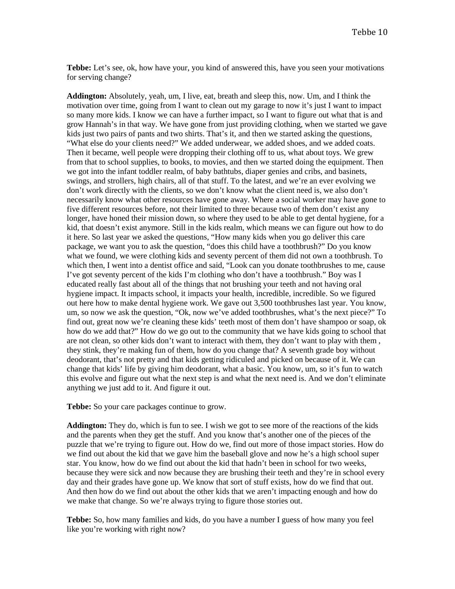**Tebbe:** Let's see, ok, how have your, you kind of answered this, have you seen your motivations for serving change?

**Addington:** Absolutely, yeah, um, I live, eat, breath and sleep this, now. Um, and I think the motivation over time, going from I want to clean out my garage to now it's just I want to impact so many more kids. I know we can have a further impact, so I want to figure out what that is and grow Hannah's in that way. We have gone from just providing clothing, when we started we gave kids just two pairs of pants and two shirts. That's it, and then we started asking the questions, "What else do your clients need?" We added underwear, we added shoes, and we added coats. Then it became, well people were dropping their clothing off to us, what about toys. We grew from that to school supplies, to books, to movies, and then we started doing the equipment. Then we got into the infant toddler realm, of baby bathtubs, diaper genies and cribs, and basinets, swings, and strollers, high chairs, all of that stuff. To the latest, and we're an ever evolving we don't work directly with the clients, so we don't know what the client need is, we also don't necessarily know what other resources have gone away. Where a social worker may have gone to five different resources before, not their limited to three because two of them don't exist any longer, have honed their mission down, so where they used to be able to get dental hygiene, for a kid, that doesn't exist anymore. Still in the kids realm, which means we can figure out how to do it here. So last year we asked the questions, "How many kids when you go deliver this care package, we want you to ask the question, "does this child have a toothbrush?" Do you know what we found, we were clothing kids and seventy percent of them did not own a toothbrush. To which then, I went into a dentist office and said, "Look can you donate toothbrushes to me, cause I've got seventy percent of the kids I'm clothing who don't have a toothbrush." Boy was I educated really fast about all of the things that not brushing your teeth and not having oral hygiene impact. It impacts school, it impacts your health, incredible, incredible. So we figured out here how to make dental hygiene work. We gave out 3,500 toothbrushes last year. You know, um, so now we ask the question, "Ok, now we've added toothbrushes, what's the next piece?" To find out, great now we're cleaning these kids' teeth most of them don't have shampoo or soap, ok how do we add that?" How do we go out to the community that we have kids going to school that are not clean, so other kids don't want to interact with them, they don't want to play with them , they stink, they're making fun of them, how do you change that? A seventh grade boy without deodorant, that's not pretty and that kids getting ridiculed and picked on because of it. We can change that kids' life by giving him deodorant, what a basic. You know, um, so it's fun to watch this evolve and figure out what the next step is and what the next need is. And we don't eliminate anything we just add to it. And figure it out.

**Tebbe:** So your care packages continue to grow.

**Addington:** They do, which is fun to see. I wish we got to see more of the reactions of the kids and the parents when they get the stuff. And you know that's another one of the pieces of the puzzle that we're trying to figure out. How do we, find out more of those impact stories. How do we find out about the kid that we gave him the baseball glove and now he's a high school super star. You know, how do we find out about the kid that hadn't been in school for two weeks, because they were sick and now because they are brushing their teeth and they're in school every day and their grades have gone up. We know that sort of stuff exists, how do we find that out. And then how do we find out about the other kids that we aren't impacting enough and how do we make that change. So we're always trying to figure those stories out.

**Tebbe:** So, how many families and kids, do you have a number I guess of how many you feel like you're working with right now?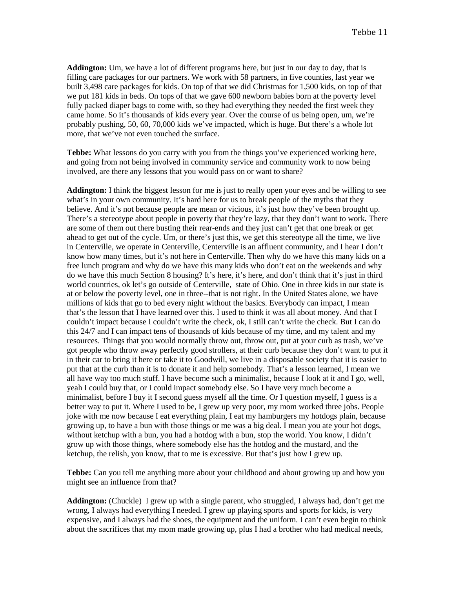**Addington:** Um, we have a lot of different programs here, but just in our day to day, that is filling care packages for our partners. We work with 58 partners, in five counties, last year we built 3,498 care packages for kids. On top of that we did Christmas for 1,500 kids, on top of that we put 181 kids in beds. On tops of that we gave 600 newborn babies born at the poverty level fully packed diaper bags to come with, so they had everything they needed the first week they came home. So it's thousands of kids every year. Over the course of us being open, um, we're probably pushing, 50, 60, 70,000 kids we've impacted, which is huge. But there's a whole lot more, that we've not even touched the surface.

**Tebbe:** What lessons do you carry with you from the things you've experienced working here, and going from not being involved in community service and community work to now being involved, are there any lessons that you would pass on or want to share?

**Addington:** I think the biggest lesson for me is just to really open your eyes and be willing to see what's in your own community. It's hard here for us to break people of the myths that they believe. And it's not because people are mean or vicious, it's just how they've been brought up. There's a stereotype about people in poverty that they're lazy, that they don't want to work. There are some of them out there busting their rear-ends and they just can't get that one break or get ahead to get out of the cycle. Um, or there's just this, we get this stereotype all the time, we live in Centerville, we operate in Centerville, Centerville is an affluent community, and I hear I don't know how many times, but it's not here in Centerville. Then why do we have this many kids on a free lunch program and why do we have this many kids who don't eat on the weekends and why do we have this much Section 8 housing? It's here, it's here, and don't think that it's just in third world countries, ok let's go outside of Centerville, state of Ohio. One in three kids in our state is at or below the poverty level, one in three--that is not right. In the United States alone, we have millions of kids that go to bed every night without the basics. Everybody can impact, I mean that's the lesson that I have learned over this. I used to think it was all about money. And that I couldn't impact because I couldn't write the check, ok, I still can't write the check. But I can do this 24/7 and I can impact tens of thousands of kids because of my time, and my talent and my resources. Things that you would normally throw out, throw out, put at your curb as trash, we've got people who throw away perfectly good strollers, at their curb because they don't want to put it in their car to bring it here or take it to Goodwill, we live in a disposable society that it is easier to put that at the curb than it is to donate it and help somebody. That's a lesson learned, I mean we all have way too much stuff. I have become such a minimalist, because I look at it and I go, well, yeah I could buy that, or I could impact somebody else. So I have very much become a minimalist, before I buy it I second guess myself all the time. Or I question myself, I guess is a better way to put it. Where I used to be, I grew up very poor, my mom worked three jobs. People joke with me now because I eat everything plain, I eat my hamburgers my hotdogs plain, because growing up, to have a bun with those things or me was a big deal. I mean you ate your hot dogs, without ketchup with a bun, you had a hotdog with a bun, stop the world. You know, I didn't grow up with those things, where somebody else has the hotdog and the mustard, and the ketchup, the relish, you know, that to me is excessive. But that's just how I grew up.

**Tebbe:** Can you tell me anything more about your childhood and about growing up and how you might see an influence from that?

**Addington:** (Chuckle) I grew up with a single parent, who struggled, I always had, don't get me wrong, I always had everything I needed. I grew up playing sports and sports for kids, is very expensive, and I always had the shoes, the equipment and the uniform. I can't even begin to think about the sacrifices that my mom made growing up, plus I had a brother who had medical needs,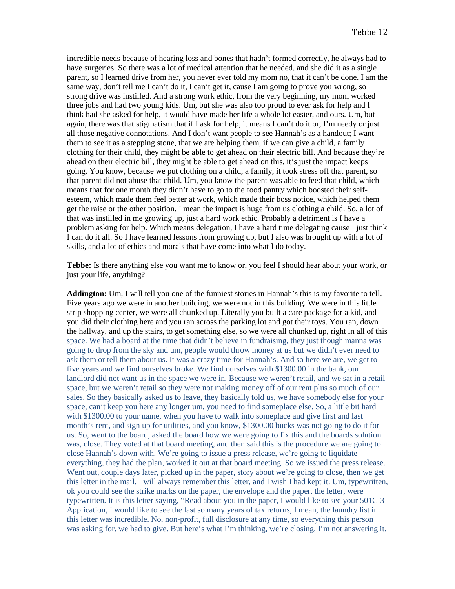incredible needs because of hearing loss and bones that hadn't formed correctly, he always had to have surgeries. So there was a lot of medical attention that he needed, and she did it as a single parent, so I learned drive from her, you never ever told my mom no, that it can't be done. I am the same way, don't tell me I can't do it, I can't get it, cause I am going to prove you wrong, so strong drive was instilled. And a strong work ethic, from the very beginning, my mom worked three jobs and had two young kids. Um, but she was also too proud to ever ask for help and I think had she asked for help, it would have made her life a whole lot easier, and ours. Um, but again, there was that stigmatism that if I ask for help, it means I can't do it or, I'm needy or just all those negative connotations. And I don't want people to see Hannah's as a handout; I want them to see it as a stepping stone, that we are helping them, if we can give a child, a family clothing for their child, they might be able to get ahead on their electric bill. And because they're ahead on their electric bill, they might be able to get ahead on this, it's just the impact keeps going. You know, because we put clothing on a child, a family, it took stress off that parent, so that parent did not abuse that child. Um, you know the parent was able to feed that child, which means that for one month they didn't have to go to the food pantry which boosted their selfesteem, which made them feel better at work, which made their boss notice, which helped them get the raise or the other position. I mean the impact is huge from us clothing a child. So, a lot of that was instilled in me growing up, just a hard work ethic. Probably a detriment is I have a problem asking for help. Which means delegation, I have a hard time delegating cause I just think I can do it all. So I have learned lessons from growing up, but I also was brought up with a lot of skills, and a lot of ethics and morals that have come into what I do today.

**Tebbe:** Is there anything else you want me to know or, you feel I should hear about your work, or just your life, anything?

**Addington:** Um, I will tell you one of the funniest stories in Hannah's this is my favorite to tell. Five years ago we were in another building, we were not in this building. We were in this little strip shopping center, we were all chunked up. Literally you built a care package for a kid, and you did their clothing here and you ran across the parking lot and got their toys. You ran, down the hallway, and up the stairs, to get something else, so we were all chunked up, right in all of this space. We had a board at the time that didn't believe in fundraising, they just though manna was going to drop from the sky and um, people would throw money at us but we didn't ever need to ask them or tell them about us. It was a crazy time for Hannah's. And so here we are, we get to five years and we find ourselves broke. We find ourselves with \$1300.00 in the bank, our landlord did not want us in the space we were in. Because we weren't retail, and we sat in a retail space, but we weren't retail so they were not making money off of our rent plus so much of our sales. So they basically asked us to leave, they basically told us, we have somebody else for your space, can't keep you here any longer um, you need to find someplace else. So, a little bit hard with \$1300.00 to your name, when you have to walk into someplace and give first and last month's rent, and sign up for utilities, and you know, \$1300.00 bucks was not going to do it for us. So, went to the board, asked the board how we were going to fix this and the boards solution was, close. They voted at that board meeting, and then said this is the procedure we are going to close Hannah's down with. We're going to issue a press release, we're going to liquidate everything, they had the plan, worked it out at that board meeting. So we issued the press release. Went out, couple days later, picked up in the paper, story about we're going to close, then we get this letter in the mail. I will always remember this letter, and I wish I had kept it. Um, typewritten, ok you could see the strike marks on the paper, the envelope and the paper, the letter, were typewritten. It is this letter saying, "Read about you in the paper, I would like to see your 501C-3 Application, I would like to see the last so many years of tax returns, I mean, the laundry list in this letter was incredible. No, non-profit, full disclosure at any time, so everything this person was asking for, we had to give. But here's what I'm thinking, we're closing, I'm not answering it.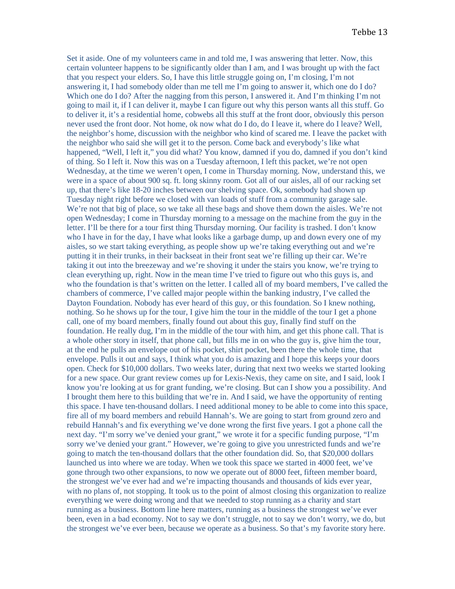Set it aside. One of my volunteers came in and told me, I was answering that letter. Now, this certain volunteer happens to be significantly older than I am, and I was brought up with the fact that you respect your elders. So, I have this little struggle going on, I'm closing, I'm not answering it, I had somebody older than me tell me I'm going to answer it, which one do I do? Which one do I do? After the nagging from this person, I answered it. And I'm thinking I'm not going to mail it, if I can deliver it, maybe I can figure out why this person wants all this stuff. Go to deliver it, it's a residential home, cobwebs all this stuff at the front door, obviously this person never used the front door. Not home, ok now what do I do, do I leave it, where do I leave? Well, the neighbor's home, discussion with the neighbor who kind of scared me. I leave the packet with the neighbor who said she will get it to the person. Come back and everybody's like what happened, "Well, I left it," you did what? You know, damned if you do, damned if you don't kind of thing. So I left it. Now this was on a Tuesday afternoon, I left this packet, we're not open Wednesday, at the time we weren't open, I come in Thursday morning. Now, understand this, we were in a space of about 900 sq. ft. long skinny room. Got all of our aisles, all of our racking set up, that there's like 18-20 inches between our shelving space. Ok, somebody had shown up Tuesday night right before we closed with van loads of stuff from a community garage sale. We're not that big of place, so we take all these bags and shove them down the aisles. We're not open Wednesday; I come in Thursday morning to a message on the machine from the guy in the letter. I'll be there for a tour first thing Thursday morning. Our facility is trashed. I don't know who I have in for the day, I have what looks like a garbage dump, up and down every one of my aisles, so we start taking everything, as people show up we're taking everything out and we're putting it in their trunks, in their backseat in their front seat we're filling up their car. We're taking it out into the breezeway and we're shoving it under the stairs you know, we're trying to clean everything up, right. Now in the mean time I've tried to figure out who this guys is, and who the foundation is that's written on the letter. I called all of my board members, I've called the chambers of commerce, I've called major people within the banking industry, I've called the Dayton Foundation. Nobody has ever heard of this guy, or this foundation. So I knew nothing, nothing. So he shows up for the tour, I give him the tour in the middle of the tour I get a phone call, one of my board members, finally found out about this guy, finally find stuff on the foundation. He really dug, I'm in the middle of the tour with him, and get this phone call. That is a whole other story in itself, that phone call, but fills me in on who the guy is, give him the tour, at the end he pulls an envelope out of his pocket, shirt pocket, been there the whole time, that envelope. Pulls it out and says, I think what you do is amazing and I hope this keeps your doors open. Check for \$10,000 dollars. Two weeks later, during that next two weeks we started looking for a new space. Our grant review comes up for Lexis-Nexis, they came on site, and I said, look I know you're looking at us for grant funding, we're closing. But can I show you a possibility. And I brought them here to this building that we're in. And I said, we have the opportunity of renting this space. I have ten-thousand dollars. I need additional money to be able to come into this space, fire all of my board members and rebuild Hannah's. We are going to start from ground zero and rebuild Hannah's and fix everything we've done wrong the first five years. I got a phone call the next day. "I'm sorry we've denied your grant," we wrote it for a specific funding purpose, "I'm sorry we've denied your grant." However, we're going to give you unrestricted funds and we're going to match the ten-thousand dollars that the other foundation did. So, that \$20,000 dollars launched us into where we are today. When we took this space we started in 4000 feet, we've gone through two other expansions, to now we operate out of 8000 feet, fifteen member board, the strongest we've ever had and we're impacting thousands and thousands of kids ever year, with no plans of, not stopping. It took us to the point of almost closing this organization to realize everything we were doing wrong and that we needed to stop running as a charity and start running as a business. Bottom line here matters, running as a business the strongest we've ever been, even in a bad economy. Not to say we don't struggle, not to say we don't worry, we do, but the strongest we've ever been, because we operate as a business. So that's my favorite story here.